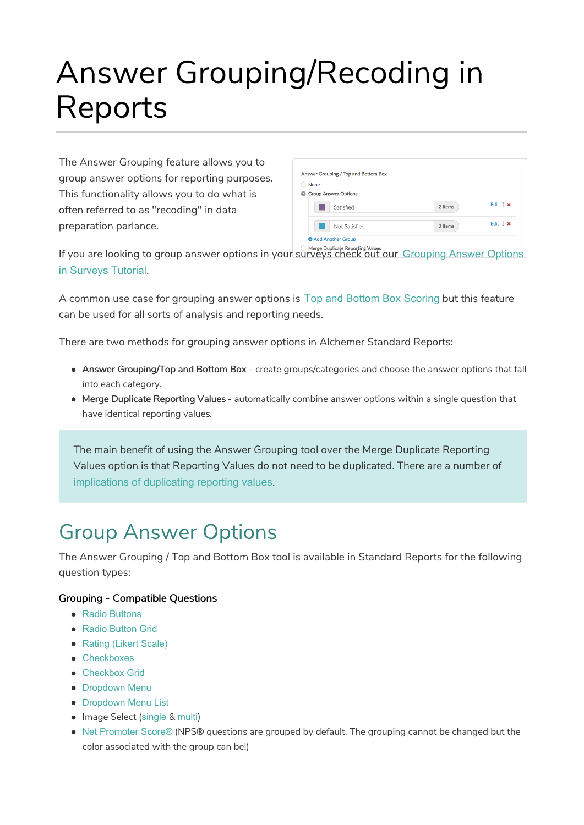# Answer Grouping/Recoding in Reports

The Answer Grouping feature allows you to group answer options for reporting purposes. This functionality allows you to do what is often referred to as "recoding" in data preparation parlance.

| None |                             |         |                 |
|------|-----------------------------|---------|-----------------|
|      | <b>Group Answer Options</b> |         |                 |
|      | Satisfied                   | 2 Items | Edit $1 \times$ |
|      | Not Satisfied               | 3 Items | Edit $1 \times$ |

If you are looking to group answer options in your surveys check out our Grouping Answer Options in Surveys Tutorial.

A common use case for grouping answer options is Top and Bottom Box Scoring but this feature can be used for all sorts of analysis and reporting needs.

There are two methods for grouping answer options in Alchemer Standard Reports:

- Answer Grouping/Top and Bottom Box create groups/categories and choose the answer options that fall into each category.
- Merge Duplicate Reporting Values automatically combine answer options within a single question that have identical reporting values.

The main benefit of using the Answer Grouping tool over the Merge Duplicate Reporting Values option is that Reporting Values do not need to be duplicated. There are a number of implications of duplicating reporting values.

# Group Answer Options

The Answer Grouping / Top and Bottom Box tool is available in Standard Reports for the following question types:

#### Grouping - Compatible Questions

- Radio Buttons
- Radio Button Grid
- Rating (Likert Scale)
- Checkboxes
- Checkbox Grid
- Dropdown Menu
- **Dropdown Menu List**
- Image Select (single & multi)
- Net Promoter Score® (NPS® questions are grouped by default. The grouping cannot be changed but the color associated with the group can be!)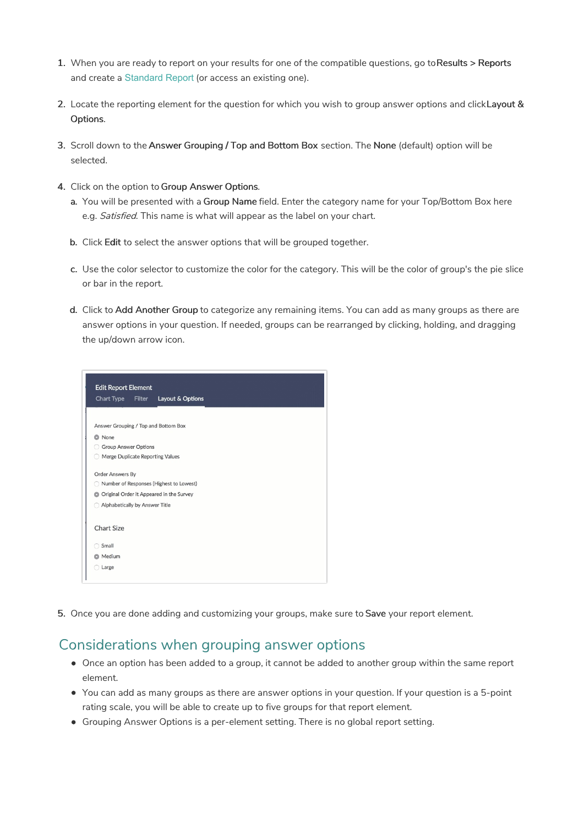- 1. When you are ready to report on your results for one of the compatible questions, go to Results > Reports and create a Standard Report (or access an existing one).
- 2. Locate the reporting element for the question for which you wish to group answer options and clickLayout & Options.
- 3. Scroll down to the Answer Grouping / Top and Bottom Box section. The None (default) option will be selected.
- 4. Click on the option to Group Answer Options.
	- a. You will be presented with a Group Name field. Enter the category name for your Top/Bottom Box here e.g. Satisfied. This name is what will appear as the label on your chart.
	- b. Click Edit to select the answer options that will be grouped together.
	- c. Use the color selector to customize the color for the category. This will be the color of group's the pie slice or bar in the report.
	- d. Click to Add Another Group to categorize any remaining items. You can add as many groups as there are answer options in your question. If needed, groups can be rearranged by clicking, holding, and dragging the up/down arrow icon.

|                   | Chart Type              | Filter                         | Layout & Options                         |  |  |
|-------------------|-------------------------|--------------------------------|------------------------------------------|--|--|
|                   |                         |                                | Answer Grouping / Top and Bottom Box     |  |  |
| C None            |                         |                                |                                          |  |  |
|                   |                         | <b>Group Answer Options</b>    |                                          |  |  |
| 0                 |                         |                                | Merge Duplicate Reporting Values         |  |  |
|                   | <b>Order Answers By</b> |                                |                                          |  |  |
|                   |                         |                                | Number of Responses (Highest to Lowest)  |  |  |
| O                 |                         |                                | Original Order it Appeared in the Survey |  |  |
|                   |                         | Alphabetically by Answer Title |                                          |  |  |
| <b>Chart Size</b> |                         |                                |                                          |  |  |
| Small             |                         |                                |                                          |  |  |
| <b>O</b> Medium   |                         |                                |                                          |  |  |

5. Once you are done adding and customizing your groups, make sure to Save your report element.

### Considerations when grouping answer options

- Once an option has been added to a group, it cannot be added to another group within the same report element.
- You can add as many groups as there are answer options in your question. If your question is a 5-point rating scale, you will be able to create up to five groups for that report element.
- Grouping Answer Options is a per-element setting. There is no global report setting.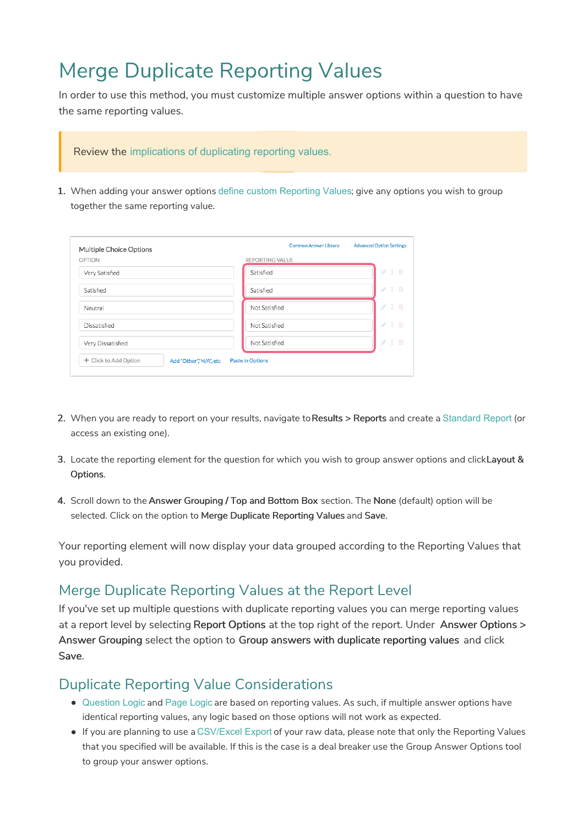# Merge Duplicate Reporting Values

In order to use this method, you must customize multiple answer options within a question to have the same reporting values.

#### Review the implications of duplicating reporting values.

1. When adding your answer options define custom Reporting Values; give any options you wish to group together the same reporting value.

| Multiple Choice Options |                        |                         |                                     |
|-------------------------|------------------------|-------------------------|-------------------------------------|
| OPTION                  |                        | <b>REPORTING VALUE</b>  |                                     |
| Very Satisfied          |                        | Satisfied               | 1 m<br>P                            |
| Satisfied               |                        | Satisfied               | 1 画<br>$\mathcal{P}$                |
| Neutral                 |                        | Not Satisfied           | $1 \t{m}$<br>P                      |
| Dissatisfied            |                        | Not Satisfied           | P<br>$1 \quad \text{m}$             |
| Very Dissatisfied       |                        | Not Satisfied           | $1$ $\overline{m}$<br>$\mathcal{S}$ |
| + Click to Add Option   | Add "Other","N/A", etc | <b>Paste in Options</b> |                                     |

- 2. When you are ready to report on your results, navigate to Results > Reports and create a Standard Report (or access an existing one).
- 3. Locate the reporting element for the question for which you wish to group answer options and clickLayout & Options.
- 4. Scroll down to the Answer Grouping / Top and Bottom Box section. The None (default) option will be selected. Click on the option to Merge Duplicate Reporting Values and Save.

Your reporting element will now display your data grouped according to the Reporting Values that you provided.

## Merge Duplicate Reporting Values at the Report Level

If you've set up multiple questions with duplicate reporting values you can merge reporting values at a report level by selecting Report Options at the top right of the report. Under Answer Options > Answer Grouping select the option to Group answers with duplicate reporting values and click Save.

### Duplicate Reporting Value Considerations

- Question Logic and Page Logic are based on reporting values. As such, if multiple answer options have identical reporting values, any logic based on those options will not work as expected.
- If you are planning to use a CSV/Excel Export of your raw data, please note that only the Reporting Values that you specified will be available. If this is the case is a deal breaker use the Group Answer Options tool to group your answer options.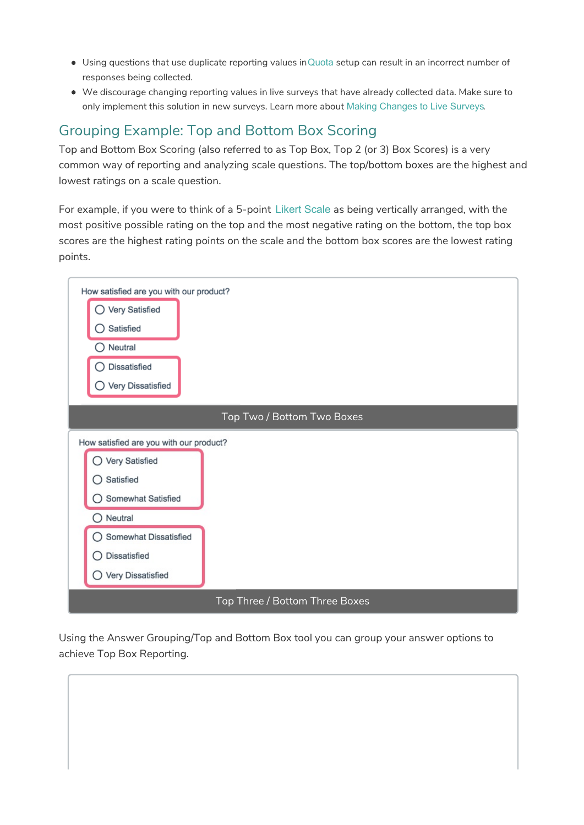- Using questions that use duplicate reporting values inQuota setup can result in an incorrect number of responses being collected.
- We discourage changing reporting values in live surveys that have already collected data. Make sure to only implement this solution in new surveys. Learn more about Making Changes to Live Surveys.

# Grouping Example: Top and Bottom Box Scoring

Top and Bottom Box Scoring (also referred to as Top Box, Top 2 (or 3) Box Scores) is a very common way of reporting and analyzing scale questions. The top/bottom boxes are the highest and lowest ratings on a scale question.

For example, if you were to think of a 5-point Likert Scale as being vertically arranged, with the most positive possible rating on the top and the most negative rating on the bottom, the top box scores are the highest rating points on the scale and the bottom box scores are the lowest rating points.



Using the Answer Grouping/Top and Bottom Box tool you can group your answer options to achieve Top Box Reporting.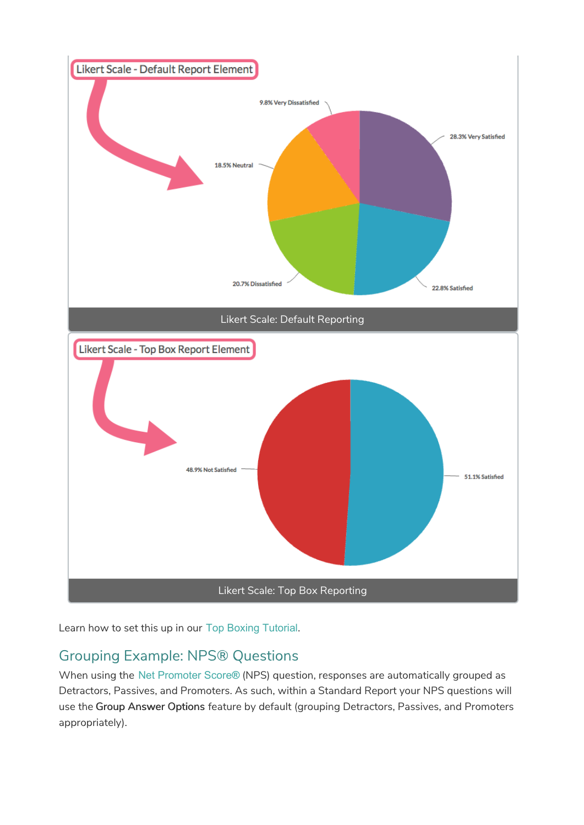

Learn how to set this up in our Top Boxing Tutorial.

# Grouping Example: NPS® Questions

When using the Net Promoter Score**®** (NPS) question, responses are automatically grouped as Detractors, Passives, and Promoters. As such, within a Standard Report your NPS questions will use the Group Answer Options feature by default (grouping Detractors, Passives, and Promoters appropriately).